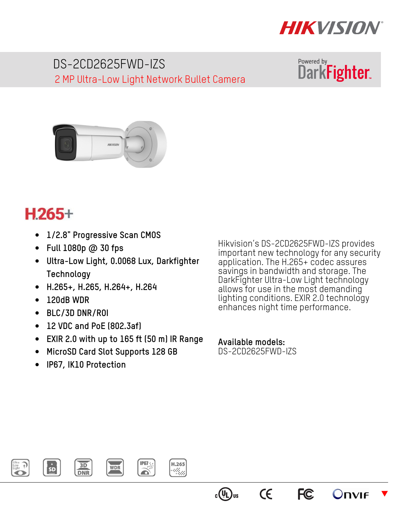

DS-2CD2625FWD-IZS 2 MP Ultra-Low Light Network Bullet Camera





## $H.265+$

- **1/2.8" Progressive Scan CMOS**
- **Full 1080p @ 30 fps**
- **Ultra-Low Light, 0.0068 Lux, Darkfighter Technology**
- **H.265+, H.265, H.264+, H.264**
- **120dB WDR**
- **BLC/3D DNR/ROI**
- **12 VDC and PoE (802.3af)**
- **EXIR 2.0 with up to 165 ft (50 m) IR Range**
- **MicroSD Card Slot Supports 128 GB**
- **IP67, IK10 Protection**

Hikvision's DS-2CD2625FWD-IZS provides important new technology for any security application. The H.265+ codec assures savings in bandwidth and storage. The DarkFighter Ultra-Low Light technology allows for use in the most demanding lighting conditions. EXIR 2.0 technology enhances night time performance.

**FC** 

**CE** 

 $\blacktriangledown$ 

**Unvif** 

**Available models:**  DS-2CD2625FWD-IZS



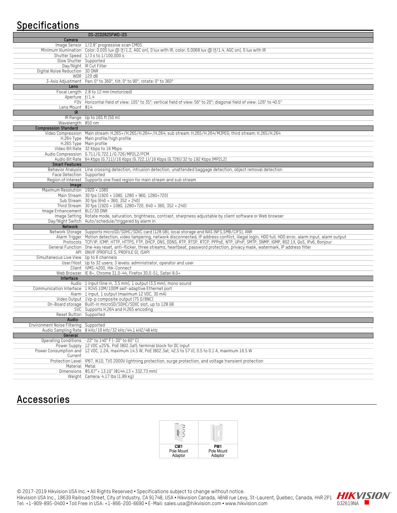## **Specifications**

|                                         | DS-2CD2625FWD-IZS                                                                                                                                         |
|-----------------------------------------|-----------------------------------------------------------------------------------------------------------------------------------------------------------|
| Camera                                  |                                                                                                                                                           |
|                                         | Image Sensor 1/2.8" progressive scan CMOS                                                                                                                 |
|                                         | Minimum Illumination Color: 0.005 lux @ (f/1.2, AGC on), 0 lux with IR, color: 0.0068 lux @ (f/1.4, AGC on), 0 lux with IR                                |
|                                         | Shutter Speed 1/3 s to 1/100,000 s                                                                                                                        |
| Slow Shutter Supported                  |                                                                                                                                                           |
|                                         |                                                                                                                                                           |
|                                         | Day/Night IR Cut Filter                                                                                                                                   |
| Digital Noise Reduction 3D DNR          |                                                                                                                                                           |
|                                         | WDR 120 dB                                                                                                                                                |
|                                         | 3-Axis Adjustment Pan: 0° to 360°, tilt: 0° to 90°, rotate: 0° to 360°                                                                                    |
| Lens                                    |                                                                                                                                                           |
|                                         | Focal Length 2.8 to 12 mm (motorized)                                                                                                                     |
| Aperture f/1.4                          |                                                                                                                                                           |
|                                         | FOV Horizontal field of view: 105° to 35°; vertical field of view: 56° to 20°; diagonal field of view: 126° to 40.5°                                      |
| Lens Mount 014                          |                                                                                                                                                           |
| IR                                      |                                                                                                                                                           |
|                                         | IR Range Up to 165 ft (50 m)                                                                                                                              |
| Wavelength 850 nm                       |                                                                                                                                                           |
|                                         |                                                                                                                                                           |
| <b>Compression Standard</b>             |                                                                                                                                                           |
|                                         | Video Compression Main stream: H.265+/H.265/H.264+/H.264; sub stream: H.265/H.264/MJPEG; third stream: H.265/H.264                                        |
|                                         | H.264 Type Main profile/high profile                                                                                                                      |
|                                         | H.265 Type Main profile                                                                                                                                   |
|                                         | Video Bit Rate 32 Kbps to 16 Mbps                                                                                                                         |
|                                         |                                                                                                                                                           |
|                                         | Audio Bit Rate 64 Kbps (6.711)/16 Kbps (6.722.1)/16 Kbps (6.726)/32 to 192 Kbps (MP2L2)                                                                   |
| <b>Smart Features</b>                   |                                                                                                                                                           |
|                                         | Behavior Analysis Line crossing detection, intrusion detection, unattended baggage detection, object removal detection                                    |
| Face Detection Supported                |                                                                                                                                                           |
|                                         | Region of Interest Supports one fixed region for main stream and sub stream                                                                               |
| Image                                   |                                                                                                                                                           |
| Maximum Resolution 1920 × 1080          |                                                                                                                                                           |
|                                         | Main Stream 30 fps (1920 × 1080, 1280 × 960, 1280×720)                                                                                                    |
|                                         |                                                                                                                                                           |
|                                         | Sub Stream 30 fps (640 × 360, 352 × 240)                                                                                                                  |
|                                         | Third Stream 30 fps (1920 × 1080, 1280 × 720, 640 × 360, 352 × 240)                                                                                       |
| Image Enhancement BLC/3D DNR            |                                                                                                                                                           |
|                                         | Image Setting Rotate mode, saturation, brightness, contrast, sharpness adjustable by client software or Web browser                                       |
|                                         | Day/Night Switch Auto/schedule/triggered by alarm in                                                                                                      |
| Network                                 |                                                                                                                                                           |
|                                         | Network Storage Supports microSD/SDHC/SDXC card (128 GB), local storage and NAS (NFS, SMB/CIFS), ANR                                                      |
|                                         | Alarm Trigger Motion detection, video tampering, network disconnected, IP address conflict, illegal login, HDD full, HDD error, alarm input, alarm output |
|                                         | Protocols TCP/IP, ICMP, HTTP, HTTPS, FTP, DHCP, DNS, DDNS, RTP, RTSP, RTCP, PPPoE, NTP, UPnP, SMTP, SNMP, IGMP, 802.1X, QoS, IPv6, Bonjour                |
|                                         | General Function One-key reset, anti-flicker, three streams, heartbeat, password protection, privacy mask, watermark, IP address filter                   |
|                                         | API ONVIF (PROFILE S, PROFILE G), ISAPI                                                                                                                   |
| Simultaneous Live View Up to 6 channels |                                                                                                                                                           |
|                                         | User/Host Up to 32 users; 3 levels: administrator, operator and user                                                                                      |
|                                         | Client iVMS-4200, Hik-Connect                                                                                                                             |
|                                         | Web Browser IE 8+, Chrome 31.0-44, Firefox 30.0-51, Safari 8.0+                                                                                           |
|                                         |                                                                                                                                                           |
| Interface                               |                                                                                                                                                           |
|                                         | Audio 1 input (line in, 3.5 mm), 1 output (3.5 mm), mono sound                                                                                            |
|                                         | Communication Interface 1 RJ45 10M/100M self-adaptive Ethernet port                                                                                       |
|                                         | Alarm 1 input, 1 output (maximum 12 VDC, 30 mA)                                                                                                           |
|                                         | Video Output 1Vp-p composite output (75 Q/BNC)                                                                                                            |
|                                         | On-Board storage Built-in microSD/SDHC/SDXC slot, up to 128 GB                                                                                            |
|                                         | SVC Supports H.264 and H.265 encoding                                                                                                                     |
| Reset Button Supported                  |                                                                                                                                                           |
| Audio                                   |                                                                                                                                                           |
| Environment Noise Filtering Supported   |                                                                                                                                                           |
|                                         | Audio Sampling Rate 8 kHz/16 kHz/32 kHz/44.1 kHZ/48 kHz                                                                                                   |
| General                                 |                                                                                                                                                           |
|                                         | Operating Conditions -22° to 140° F (-30° to 60° C)                                                                                                       |
|                                         | Power Supply 12 VDC ±25%, PoE (802.3af); terminal block for DC input                                                                                      |
|                                         | Power Consumption and 12 VDC, 1.2A, maximum 14.5 W, PoE (802.3at, 42.5 to 57 V), 0.5 to 0.1 A, maximum 16.5 W                                             |
| Current                                 |                                                                                                                                                           |
|                                         | Protection Level IP67, IK10, TVS 2000V lightning protection, surge protection, and voltage transient protection                                           |
| Material Metal                          |                                                                                                                                                           |
|                                         |                                                                                                                                                           |
|                                         | Dimensions $0.67$ × 13.10" $(0.144.13 \times 332.73 \text{ mm})$                                                                                          |
|                                         | Weight Camera: 4.17 lbs (1.89 kg)                                                                                                                         |
|                                         |                                                                                                                                                           |

## **Accessories**

| CM <sub>1</sub> | PM <sub>1</sub> |
|-----------------|-----------------|
| Pole Mount      | Pole Mount      |
| Adaptor         | Adaptor         |

© 2017-2019 Hikvision USA Inc. • All Rights Reserved • Specifications subject to change without notice. Hikvision USA Inc., 18639 Railroad Street, City of Industry, CA 91748, USA • Hikvision Canada, 4848 rue Levy, St-Laurent, Quebec, Canada, H4R 2P1 IT IN VID<br>Tel: +1-909-895-0400 • Toll Free in USA: +1-866-200-6690 • E-Mail: